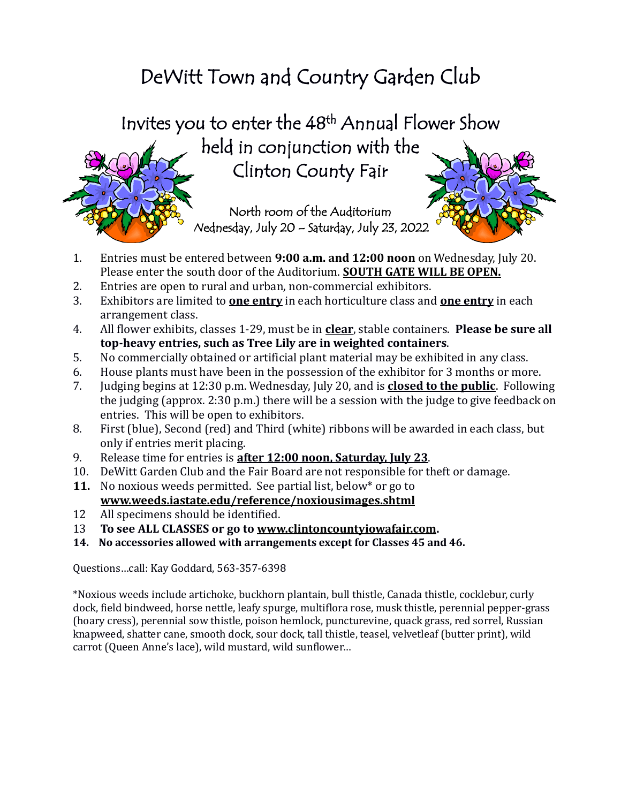# DeWitt Town and Country Garden Club

Invites you to enter the 48 th Annual Flower Show held in conjunction with the Clinton County Fair

> North room of the Auditorium Wednesday, July 20 – Saturday, July 23, 2022



- 2. Entries are open to rural and urban, non-commercial exhibitors.
- 3. Exhibitors are limited to **one entry** in each horticulture class and **one entry** in each arrangement class.
- 4. All flower exhibits, classes 1-29, must be in **clear**, stable containers. **Please be sure all top-heavy entries, such as Tree Lily are in weighted containers**.
- 5. No commercially obtained or artificial plant material may be exhibited in any class.
- 6. House plants must have been in the possession of the exhibitor for 3 months or more.
- 7. Judging begins at 12:30 p.m. Wednesday, July 20, and is **closed to the public**. Following the judging (approx. 2:30 p.m.) there will be a session with the judge to give feedback on entries. This will be open to exhibitors.
- 8. First (blue), Second (red) and Third (white) ribbons will be awarded in each class, but only if entries merit placing.
- 9. Release time for entries is **after 12:00 noon, Saturday, July 23**.
- 10. DeWitt Garden Club and the Fair Board are not responsible for theft or damage.
- **11.** No noxious weeds permitted. See partial list, below\* or go to **[www.weeds.iastate.edu/reference/noxiousimages.shtml](http://www.weeds.iastate.edu/reference/noxiousimages.shtml)**
- 12 All specimens should be identified.
- 13 **To see ALL CLASSES or go to [www.clintoncountyiowafair.com.](http://www.clintoncountyiowafair.com/)**
- **14. No accessories allowed with arrangements except for Classes 45 and 46.**

Questions…call: Kay Goddard, 563-357-6398

\*Noxious weeds include artichoke, buckhorn plantain, bull thistle, Canada thistle, cocklebur, curly dock, field bindweed, horse nettle, leafy spurge, multiflora rose, musk thistle, perennial pepper-grass (hoary cress), perennial sow thistle, poison hemlock, puncturevine, quack grass, red sorrel, Russian knapweed, shatter cane, smooth dock, sour dock, tall thistle, teasel, velvetleaf (butter print), wild carrot (Queen Anne's lace), wild mustard, wild sunflower…